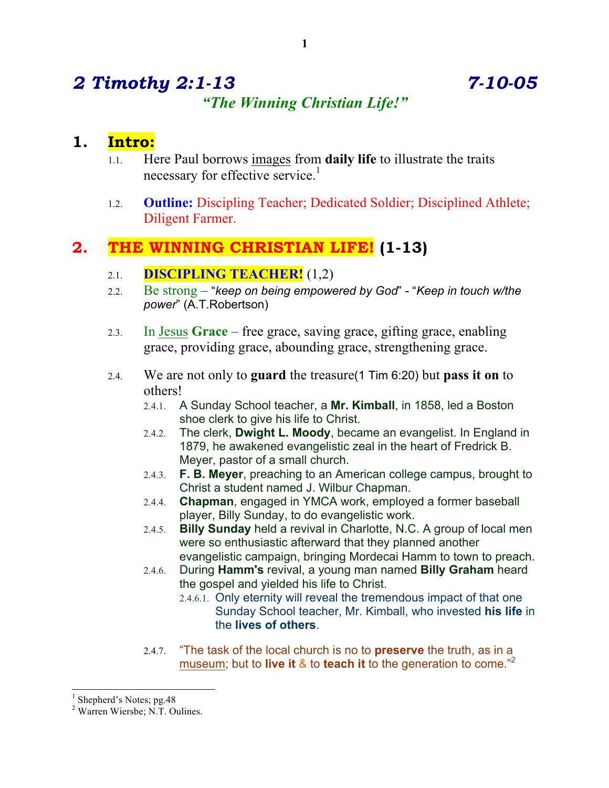# *2 Timothy 2:1-13 7-10-05 "The Winning Christian Life!"*

## **1. Intro:**

- 1.1. Here Paul borrows images from **daily life** to illustrate the traits necessary for effective service.<sup>1</sup>
- 1.2. **Outline:** Discipling Teacher; Dedicated Soldier; Disciplined Athlete; Diligent Farmer.

# **2. THE WINNING CHRISTIAN LIFE! (1-13)**

- 2.1. **DISCIPLING TEACHER!** (1,2)
- 2.2. Be strong "*keep on being empowered by God*" "*Keep in touch w/the power*" (A.T.Robertson)
- 2.3. In Jesus **Grace** free grace, saving grace, gifting grace, enabling grace, providing grace, abounding grace, strengthening grace.
- 2.4. We are not only to **guard** the treasure(1 Tim 6:20) but **pass it on** to others!
	- 2.4.1. A Sunday School teacher, a **Mr. Kimball**, in 1858, led a Boston shoe clerk to give his life to Christ.
	- 2.4.2. The clerk, **Dwight L. Moody**, became an evangelist. In England in 1879, he awakened evangelistic zeal in the heart of Fredrick B. Meyer, pastor of a small church.
	- 2.4.3. **F. B. Meyer**, preaching to an American college campus, brought to Christ a student named J. Wilbur Chapman.
	- 2.4.4. **Chapman**, engaged in YMCA work, employed a former baseball player, Billy Sunday, to do evangelistic work.
	- 2.4.5. **Billy Sunday** held a revival in Charlotte, N.C. A group of local men were so enthusiastic afterward that they planned another evangelistic campaign, bringing Mordecai Hamm to town to preach.
	- 2.4.6. During **Hamm's** revival, a young man named **Billy Graham** heard the gospel and yielded his life to Christ.
		- 2.4.6.1. Only eternity will reveal the tremendous impact of that one Sunday School teacher, Mr. Kimball, who invested **his life** in the **lives of others**.
	- 2.4.7. "The task of the local church is no to **preserve** the truth, as in a museum; but to **live it** & to **teach it** to the generation to come."<sup>2</sup>

<sup>&</sup>lt;sup>1</sup> Shepherd's Notes; pg. 48<br><sup>2</sup> Warren Wiersbe; N.T. Oulines.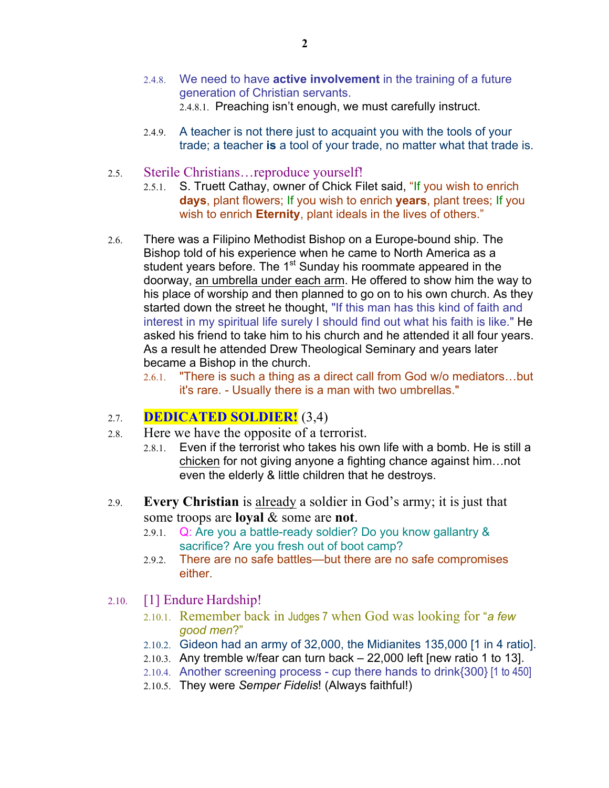- 2.4.8. We need to have **active involvement** in the training of a future generation of Christian servants. 2.4.8.1. Preaching isn't enough, we must carefully instruct.
- 2.4.9. A teacher is not there just to acquaint you with the tools of your trade; a teacher **is** a tool of your trade, no matter what that trade is.
- 2.5. Sterile Christians…reproduce yourself!
	- 2.5.1. S. Truett Cathay, owner of Chick Filet said, "If you wish to enrich **days**, plant flowers; If you wish to enrich **years**, plant trees; If you wish to enrich **Eternity**, plant ideals in the lives of others."
- 2.6. There was a Filipino Methodist Bishop on a Europe-bound ship. The Bishop told of his experience when he came to North America as a student years before. The 1<sup>st</sup> Sunday his roommate appeared in the doorway, an umbrella under each arm. He offered to show him the way to his place of worship and then planned to go on to his own church. As they started down the street he thought, "If this man has this kind of faith and interest in my spiritual life surely I should find out what his faith is like." He asked his friend to take him to his church and he attended it all four years. As a result he attended Drew Theological Seminary and years later became a Bishop in the church.
	- 2.6.1. "There is such a thing as a direct call from God w/o mediators…but it's rare. - Usually there is a man with two umbrellas."

#### 2.7. **DEDICATED SOLDIER!** (3,4)

- 2.8. Here we have the opposite of a terrorist.
	- 2.8.1. Even if the terrorist who takes his own life with a bomb. He is still a chicken for not giving anyone a fighting chance against him…not even the elderly & little children that he destroys.
- 2.9. **Every Christian** is already a soldier in God's army; it is just that some troops are **loyal** & some are **not**.
	- 2.9.1. Q: Are you a battle-ready soldier? Do you know gallantry & sacrifice? Are you fresh out of boot camp?
	- 2.9.2. There are no safe battles—but there are no safe compromises either.
- 2.10. [1] Endure Hardship!
	- 2.10.1. Remember back in Judges 7 when God was looking for "*a few good men*?"
	- 2.10.2. Gideon had an army of 32,000, the Midianites 135,000 [1 in 4 ratio].
	- 2.10.3. Any tremble w/fear can turn back 22,000 left [new ratio 1 to 13].
	- 2.10.4. Another screening process cup there hands to drink{300} [1 to 450]
	- 2.10.5. They were *Semper Fidelis*! (Always faithful!)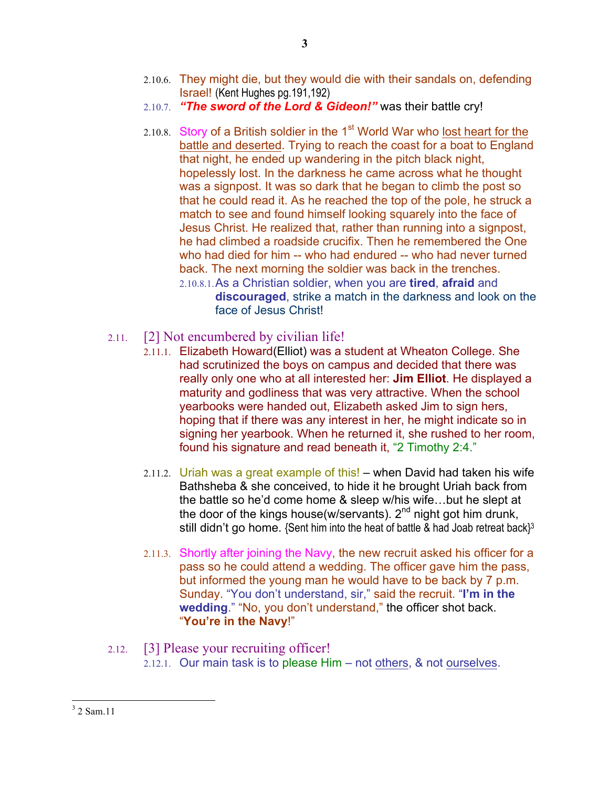- 2.10.6. They might die, but they would die with their sandals on, defending Israel! (Kent Hughes pg.191,192)
- 2.10.7. *"The sword of the Lord & Gideon!"* was their battle cry!
- 2.10.8. Story of a British soldier in the  $1<sup>st</sup>$  World War who lost heart for the battle and deserted. Trying to reach the coast for a boat to England that night, he ended up wandering in the pitch black night, hopelessly lost. In the darkness he came across what he thought was a signpost. It was so dark that he began to climb the post so that he could read it. As he reached the top of the pole, he struck a match to see and found himself looking squarely into the face of Jesus Christ. He realized that, rather than running into a signpost, he had climbed a roadside crucifix. Then he remembered the One who had died for him -- who had endured -- who had never turned back. The next morning the soldier was back in the trenches. 2.10.8.1.As a Christian soldier, when you are **tired**, **afraid** and **discouraged**, strike a match in the darkness and look on the
	- face of Jesus Christ!
- 2.11. [2] Not encumbered by civilian life!
	- 2.11.1. Elizabeth Howard(Elliot) was a student at Wheaton College. She had scrutinized the boys on campus and decided that there was really only one who at all interested her: **Jim Elliot**. He displayed a maturity and godliness that was very attractive. When the school yearbooks were handed out, Elizabeth asked Jim to sign hers, hoping that if there was any interest in her, he might indicate so in signing her yearbook. When he returned it, she rushed to her room, found his signature and read beneath it, "2 Timothy 2:4."
	- 2.11.2. Uriah was a great example of this!  $-$  when David had taken his wife Bathsheba & she conceived, to hide it he brought Uriah back from the battle so he'd come home & sleep w/his wife…but he slept at the door of the kings house(w/servants).  $2^{nd}$  night got him drunk, still didn't go home. {Sent him into the heat of battle & had Joab retreat back}<sup>3</sup>
	- 2.11.3. Shortly after joining the Navy, the new recruit asked his officer for a pass so he could attend a wedding. The officer gave him the pass, but informed the young man he would have to be back by 7 p.m. Sunday. "You don't understand, sir," said the recruit. "**I'm in the wedding**." "No, you don't understand," the officer shot back. "**You're in the Navy**!"

#### 2.12. [3] Please your recruiting officer! 2.12.1. Our main task is to please Him – not others, & not ourselves.

 <sup>3</sup> 2 Sam.11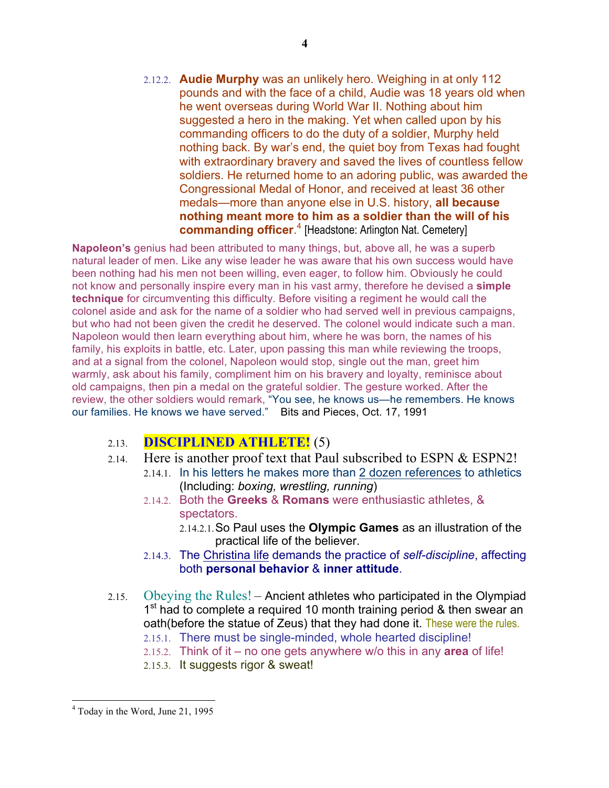2.12.2. **Audie Murphy** was an unlikely hero. Weighing in at only 112 pounds and with the face of a child, Audie was 18 years old when he went overseas during World War II. Nothing about him suggested a hero in the making. Yet when called upon by his commanding officers to do the duty of a soldier, Murphy held nothing back. By war's end, the quiet boy from Texas had fought with extraordinary bravery and saved the lives of countless fellow soldiers. He returned home to an adoring public, was awarded the Congressional Medal of Honor, and received at least 36 other medals—more than anyone else in U.S. history, **all because nothing meant more to him as a soldier than the will of his commanding officer**. <sup>4</sup> [Headstone: Arlington Nat. Cemetery]

**Napoleon's** genius had been attributed to many things, but, above all, he was a superb natural leader of men. Like any wise leader he was aware that his own success would have been nothing had his men not been willing, even eager, to follow him. Obviously he could not know and personally inspire every man in his vast army, therefore he devised a **simple technique** for circumventing this difficulty. Before visiting a regiment he would call the colonel aside and ask for the name of a soldier who had served well in previous campaigns, but who had not been given the credit he deserved. The colonel would indicate such a man. Napoleon would then learn everything about him, where he was born, the names of his family, his exploits in battle, etc. Later, upon passing this man while reviewing the troops, and at a signal from the colonel, Napoleon would stop, single out the man, greet him warmly, ask about his family, compliment him on his bravery and loyalty, reminisce about old campaigns, then pin a medal on the grateful soldier. The gesture worked. After the review, the other soldiers would remark, "You see, he knows us—he remembers. He knows our families. He knows we have served." Bits and Pieces, Oct. 17, 1991

### 2.13. **DISCIPLINED ATHLETE!** (5)

- 2.14. Here is another proof text that Paul subscribed to ESPN & ESPN2!
	- 2.14.1. In his letters he makes more than 2 dozen references to athletics (Including: *boxing, wrestling, running*)
	- 2.14.2. Both the **Greeks** & **Romans** were enthusiastic athletes, & spectators.
		- 2.14.2.1.So Paul uses the **Olympic Games** as an illustration of the practical life of the believer.
	- 2.14.3. The Christina life demands the practice of *self-discipline*, affecting both **personal behavior** & **inner attitude**.
- 2.15. Obeying the Rules! Ancient athletes who participated in the Olympiad 1<sup>st</sup> had to complete a required 10 month training period & then swear an oath(before the statue of Zeus) that they had done it. These were the rules.
	- 2.15.1. There must be single-minded, whole hearted discipline!
	- 2.15.2. Think of it no one gets anywhere w/o this in any **area** of life!
	- 2.15.3. It suggests rigor & sweat!

**4**

 <sup>4</sup> Today in the Word, June 21, 1995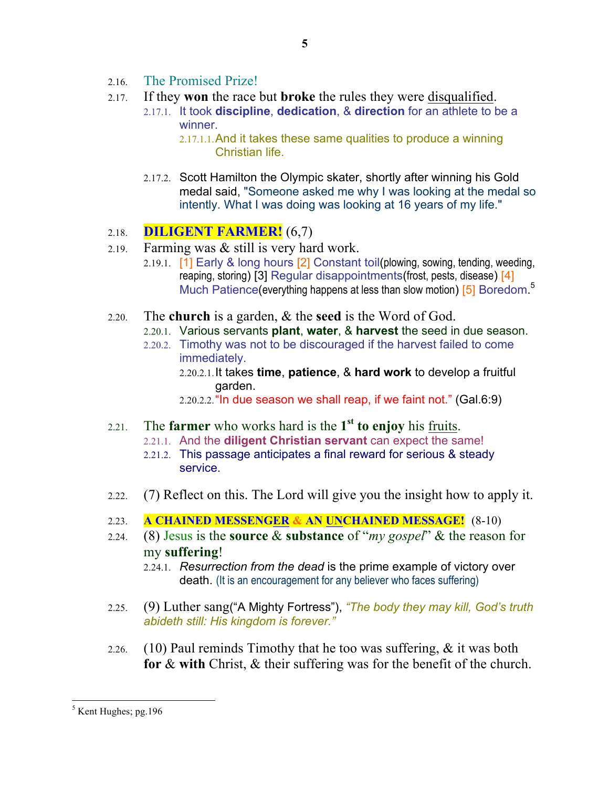- 2.16. The Promised Prize!
- 2.17. If they **won** the race but **broke** the rules they were disqualified.
	- 2.17.1. It took **discipline**, **dedication**, & **direction** for an athlete to be a winner.

2.17.1.1.And it takes these same qualities to produce a winning Christian life.

2.17.2. Scott Hamilton the Olympic skater, shortly after winning his Gold medal said, "Someone asked me why I was looking at the medal so intently. What I was doing was looking at 16 years of my life."

### 2.18. **DILIGENT FARMER!** (6,7)

- 2.19. Farming was & still is very hard work.
	- 2.19.1. [1] Early & long hours [2] Constant toil(plowing, sowing, tending, weeding, reaping, storing) [3] Regular disappointments(frost, pests, disease) [4] Much Patience (everything happens at less than slow motion) [5] Boredom.<sup>5</sup>
- 2.20. The **church** is a garden, & the **seed** is the Word of God.
	- 2.20.1. Various servants **plant**, **water**, & **harvest** the seed in due season.
	- 2.20.2. Timothy was not to be discouraged if the harvest failed to come immediately.
		- 2.20.2.1.It takes **time**, **patience**, & **hard work** to develop a fruitful garden.

2.20.2.2."In due season we shall reap, if we faint not." (Gal.6:9)

- 2.21. The **farmer** who works hard is the **1st to enjoy** his fruits.
	- 2.21.1. And the **diligent Christian servant** can expect the same!
	- 2.21.2. This passage anticipates a final reward for serious & steady service.
- 2.22. (7) Reflect on this. The Lord will give you the insight how to apply it.
- 2.23. **A CHAINED MESSENGER & AN UNCHAINED MESSAGE!** (8-10)
- 2.24. (8) Jesus is the **source** & **substance** of "*my gospel*" & the reason for my **suffering**!
	- 2.24.1. *Resurrection from the dead* is the prime example of victory over death. (It is an encouragement for any believer who faces suffering)
- 2.25. (9) Luther sang("A Mighty Fortress"), *"The body they may kill, God's truth abideth still: His kingdom is forever."*
- 2.26. (10) Paul reminds Timothy that he too was suffering,  $\&$  it was both **for** & **with** Christ, & their suffering was for the benefit of the church.

 $<sup>5</sup>$  Kent Hughes; pg. 196</sup>